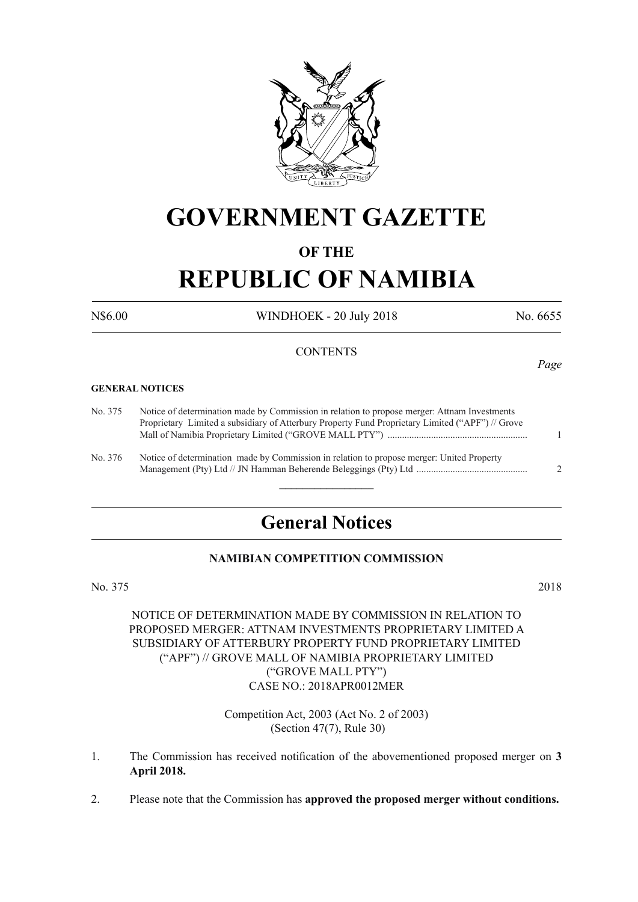

## **GOVERNMENT GAZETTE**

#### **OF THE**

# **REPUBLIC OF NAMIBIA**

N\$6.00 WINDHOEK - 20 July 2018 No. 6655

#### **CONTENTS**

#### **GENERAL NOTICES**

No. 375 Notice of determination made by Commission in relation to propose merger: Attnam Investments Proprietary Limited a subsidiary of Atterbury Property Fund Proprietary Limited ("APF") // Grove Mall of Namibia Proprietary Limited ("GROVE MALL PTY") .......................................................... 1

No. 376 Notice of determination made by Commission in relation to propose merger: United Property Management (Pty) Ltd // JN Hamman Beherende Beleggings (Pty) Ltd .............................................. 2

### **General Notices**

 $\frac{1}{2}$ 

#### **NAMIBIAN COMPETITION COMMISSION**

No. 375 2018

#### NOTICE OF DETERMINATION MADE BY COMMISSION IN RELATION TO PROPOSED MERGER: ATTNAM INVESTMENTS PROPRIETARY LIMITED A SUBSIDIARY OF ATTERBURY PROPERTY FUND PROPRIETARY LIMITED ("APF") // GROVE MALL OF NAMIBIA PROPRIETARY LIMITED ("GROVE MALL PTY") CASE NO.: 2018APR0012MER

Competition Act, 2003 (Act No. 2 of 2003) (Section 47(7), Rule 30)

- 1. The Commission has received notification of the abovementioned proposed merger on **3 April 2018.**
- 2. Please note that the Commission has **approved the proposed merger without conditions.**

*Page*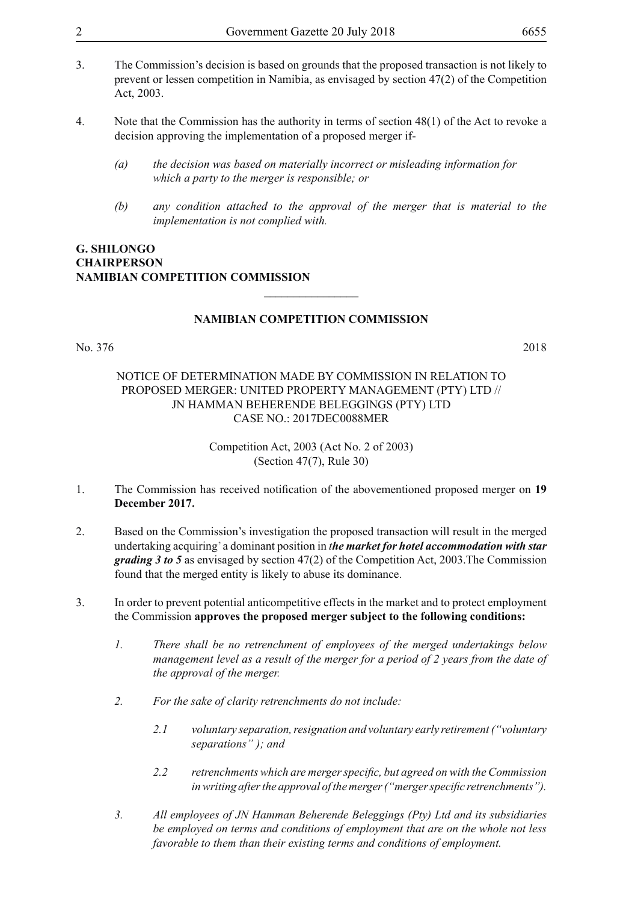- 3. The Commission's decision is based on grounds that the proposed transaction is not likely to prevent or lessen competition in Namibia, as envisaged by section 47(2) of the Competition Act, 2003.
- 4. Note that the Commission has the authority in terms of section 48(1) of the Act to revoke a decision approving the implementation of a proposed merger if-
	- *(a) the decision was based on materially incorrect or misleading information for which a party to the merger is responsible; or*
	- *(b) any condition attached to the approval of the merger that is material to the implementation is not complied with.*

#### **G. Shilongo Chairperson Namibian Competition Commission**

#### **NAMIBIAN COMPETITION COMMISSION**

 $\overline{\phantom{a}}$  , where  $\overline{\phantom{a}}$ 

#### No. 376 2018

#### NOTICE OF DETERMINATION MADE BY COMMISSION IN RELATION TO PROPOSED MERGER: UNITED PROPERTY MANAGEMENT (PTY) LTD // JN HAMMAN BEHERENDE BELEGGINGS (PTY) LTD CASE NO.: 2017DEC0088MER

Competition Act, 2003 (Act No. 2 of 2003) (Section 47(7), Rule 30)

- 1. The Commission has received notification of the abovementioned proposed merger on **19 December 2017.**
- 2. Based on the Commission's investigation the proposed transaction will result in the merged undertaking acquiring' a dominant position in *the market for hotel accommodation with star grading 3 to 5* as envisaged by section 47(2) of the Competition Act, 2003.The Commission found that the merged entity is likely to abuse its dominance.
- 3. In order to prevent potential anticompetitive effects in the market and to protect employment the Commission **approves the proposed merger subject to the following conditions:**
	- *1. There shall be no retrenchment of employees of the merged undertakings below management level as a result of the merger for a period of 2 years from the date of the approval of the merger.*
	- *2. For the sake of clarity retrenchments do not include:*
		- *2.1 voluntary separation, resignation and voluntary early retirement ("voluntary separations" ); and*
		- *2.2 retrenchments which are merger specific, but agreed on with the Commission in writing after the approval of the merger ("merger specific retrenchments").*
	- *3. All employees of JN Hamman Beherende Beleggings (Pty) Ltd and its subsidiaries be employed on terms and conditions of employment that are on the whole not less favorable to them than their existing terms and conditions of employment.*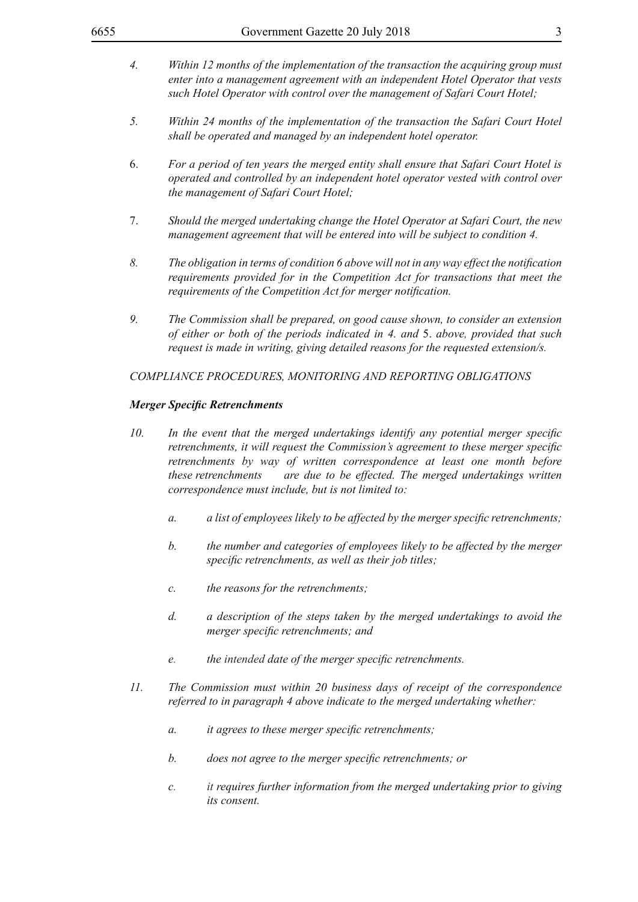- *4. Within 12 months of the implementation of the transaction the acquiring group must enter into a management agreement with an independent Hotel Operator that vests such Hotel Operator with control over the management of Safari Court Hotel;*
- *5. Within 24 months of the implementation of the transaction the Safari Court Hotel shall be operated and managed by an independent hotel operator.*
- 6. *For a period of ten years the merged entity shall ensure that Safari Court Hotel is operated and controlled by an independent hotel operator vested with control over the management of Safari Court Hotel;*
- 7. *Should the merged undertaking change the Hotel Operator at Safari Court, the new management agreement that will be entered into will be subject to condition 4.*
- *8. The obligation in terms of condition 6 above will not in any way effect the notification requirements provided for in the Competition Act for transactions that meet the requirements of the Competition Act for merger notification.*
- *9. The Commission shall be prepared, on good cause shown, to consider an extension of either or both of the periods indicated in 4. and* 5. *above, provided that such request is made in writing, giving detailed reasons for the requested extension/s.*

#### *COMPLIANCE PROCEDURES, MONITORING AND REPORTING OBLIGATIONS*

#### *Merger Specific Retrenchments*

- *10. In the event that the merged undertakings identify any potential merger specific retrenchments, it will request the Commission's agreement to these merger specific retrenchments by way of written correspondence at least one month before these retrenchments are due to be effected. The merged undertakings written correspondence must include, but is not limited to:*
	- *a. a list of employees likely to be affected by the merger specific retrenchments;*
	- *b. the number and categories of employees likely to be affected by the merger specific retrenchments, as well as their job titles;*
	- *c. the reasons for the retrenchments;*
	- *d. a description of the steps taken by the merged undertakings to avoid the merger specific retrenchments; and*
	- *e. the intended date of the merger specific retrenchments.*
- *11. The Commission must within 20 business days of receipt of the correspondence referred to in paragraph 4 above indicate to the merged undertaking whether:*
	- *a. it agrees to these merger specific retrenchments;*
	- *b. does not agree to the merger specific retrenchments; or*
	- *c. it requires further information from the merged undertaking prior to giving its consent.*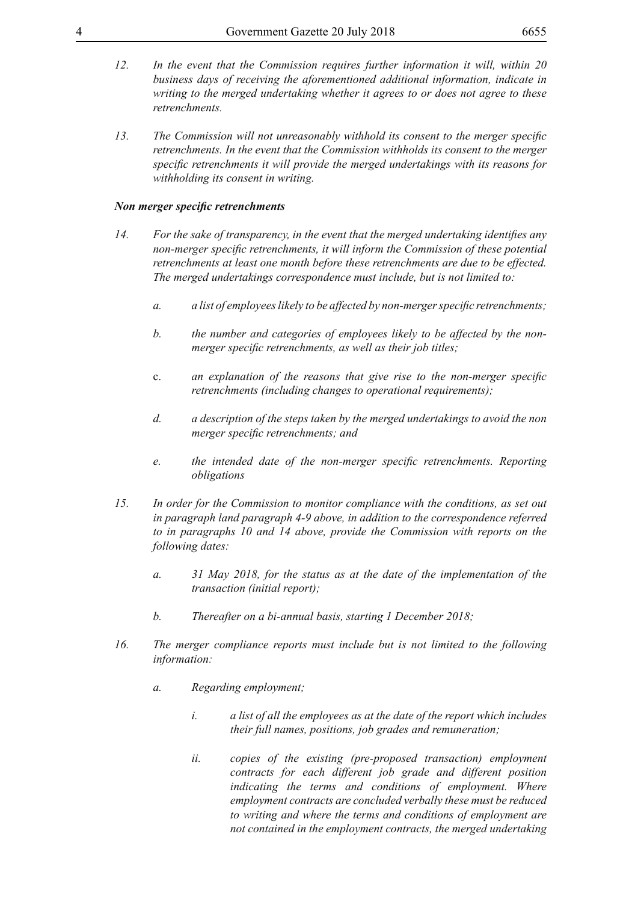- *12. In the event that the Commission requires further information it will, within 20 business days of receiving the aforementioned additional information, indicate in writing to the merged undertaking whether it agrees to or does not agree to these retrenchments.*
- *13. The Commission will not unreasonably withhold its consent to the merger specific retrenchments. In the event that the Commission withholds its consent to the merger specific retrenchments it will provide the merged undertakings with its reasons for withholding its consent in writing.*

#### *Non merger specific retrenchments*

- *14. For the sake of transparency, in the event that the merged undertaking identifies any non-merger specific retrenchments, it will inform the Commission of these potential retrenchments at least one month before these retrenchments are due to be effected. The merged undertakings correspondence must include, but is not limited to:*
	- *a. a list of employees likely to be affected by non-merger specific retrenchments;*
	- *b. the number and categories of employees likely to be affected by the nonmerger specific retrenchments, as well as their job titles;*
	- c. *an explanation of the reasons that give rise to the non-merger specific retrenchments (including changes to operational requirements);*
	- *d. a description of the steps taken by the merged undertakings to avoid the non merger specific retrenchments; and*
	- *e. the intended date of the non-merger specific retrenchments. Reporting obligations*
- *15. In order for the Commission to monitor compliance with the conditions, as set out in paragraph land paragraph 4-9 above, in addition to the correspondence referred to in paragraphs 10 and 14 above, provide the Commission with reports on the following dates:*
	- *a. 31 May 2018, for the status as at the date of the implementation of the transaction (initial report);*
	- *b. Thereafter on a bi-annual basis, starting 1 December 2018;*
- *16. The merger compliance reports must include but is not limited to the following information:*
	- *a. Regarding employment;*
		- *i. a list of all the employees as at the date of the report which includes their full names, positions, job grades and remuneration;*
		- *ii. copies of the existing (pre-proposed transaction) employment contracts for each different job grade and different position indicating the terms and conditions of employment. Where employment contracts are concluded verbally these must be reduced to writing and where the terms and conditions of employment are not contained in the employment contracts, the merged undertaking*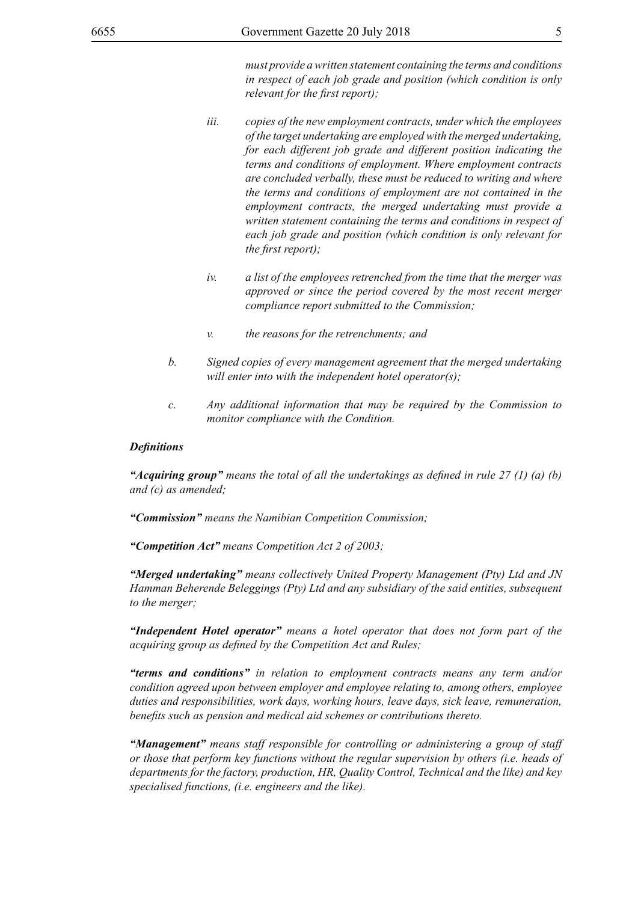*must provide a written statement containing the terms and conditions in respect of each job grade and position (which condition is only relevant for the first report);*

- *iii. copies of the new employment contracts, under which the employees of the target undertaking are employed with the merged undertaking, for each different job grade and different position indicating the terms and conditions of employment. Where employment contracts are concluded verbally, these must be reduced to writing and where the terms and conditions of employment are not contained in the employment contracts, the merged undertaking must provide a written statement containing the terms and conditions in respect of each job grade and position (which condition is only relevant for the first report);*
- *iv. a list of the employees retrenched from the time that the merger was approved or since the period covered by the most recent merger compliance report submitted to the Commission;*
- *v. the reasons for the retrenchments; and*
- *b. Signed copies of every management agreement that the merged undertaking will enter into with the independent hotel operator(s);*
- *c. Any additional information that may be required by the Commission to monitor compliance with the Condition.*

#### *Definitions*

*"Acquiring group" means the total of all the undertakings as defined in rule 27 (1) (a) (b) and (c) as amended;*

*"Commission" means the Namibian Competition Commission;*

*"Competition Act" means Competition Act 2 of 2003;*

*"Merged undertaking" means collectively United Property Management (Pty) Ltd and JN Hamman Beherende Beleggings (Pty) Ltd and any subsidiary of the said entities, subsequent to the merger;*

*"Independent Hotel operator" means a hotel operator that does not form part of the acquiring group as defined by the Competition Act and Rules;*

*"terms and conditions" in relation to employment contracts means any term and/or condition agreed upon between employer and employee relating to, among others, employee duties and responsibilities, work days, working hours, leave days, sick leave, remuneration, benefits such as pension and medical aid schemes or contributions thereto.*

*"Management" means staff responsible for controlling or administering a group of staff or those that perform key functions without the regular supervision by others (i.e. heads of departments for the factory, production, HR, Quality Control, Technical and the like) and key specialised functions, (i.e. engineers and the like).*